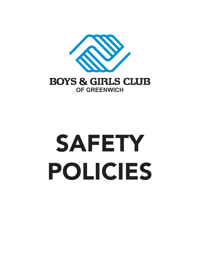

**OF GREENWICH** 

# SAFETY POLICIES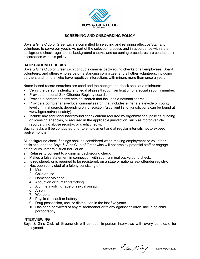

## **SCREENING AND ONBOARDING POLICY**

Boys & Girls Club of Greenwich is committed to selecting and retaining effective Staff and volunteers to serve our youth. As part of the selection process and in accordance with state background check regulations, background checks, and screening procedures are conducted in accordance with this policy.

## **BACKGROUND CHECKS**

Boys & Girls Club of Greenwich conducts criminal background checks of all employees, Board volunteers, and others who serve on a standing committee; and all other volunteers, including partners and minors, who have repetitive interactions with minors more than once a year.

Name-based record searches are used and the background check shall at a minimum:

- Verify the person's identity and legal aliases through verification of a social security number.
- Provide a national Sex Offender Registry search.
- Provide a comprehensive criminal search that includes a national search.
- Provide a comprehensive local criminal search that includes either a statewide or county level criminal search, depending on jurisdiction (a current list of jurisdictions can be found at www.bgca.net/childsafety).
- Include any additional background check criteria required by organizational policies, funding or licensing agencies, or required in the applicable jurisdiction, such as motor vehicle records, child abuse registry, or credit checks.

Such checks will be conducted prior to employment and at regular intervals not to exceed twelve months

All background check findings shall be considered when making employment or volunteer decisions, and the Boys & Girls Club of Greenwich will not employ potential staff or engage potential volunteers if such individual:

- a. Refuses to consent to a criminal background check.
- b. Makes a false statement in connection with such criminal background check.
- c. Is registered, or is required to be registered, on a state or national sex offender registry.
- d. Has been convicted of a felony consisting of:
	- 1. Murder
	- 2. Child abuse
	- 3. Domestic violence
	- 4. Abduction or human trafficking
	- 5. A crime involving rape or sexual assault
	- 6. Arson
	- 7. Weapons
	- 8. Physical assault or battery
	- 9. Drug possession, use, or distribution in the last five years
	- 10. Has been convicted of any misdemeanor or felony against children, including child pornography.

#### **INTERVIEWING**

Boys & Girls Club of Greenwich will conduct in-person interviews with every candidate for employment.

Approved By:  $9 \mu \rightarrow 7$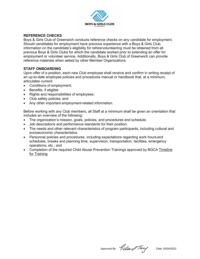

## **REFERENCE CHECKS**

Boys & Girls Club of Greenwich conducts reference checks on any candidate for employment. Should candidates for employment have previous experience with a Boys & Girls Club, information on the candidate's eligibility for rehire/volunteering must be obtained from all previous Boys & Girls Clubs for which the candidate worked prior to extending an offer for employment or volunteer service. Additionally, Boys & Girls Club of Greenwich can provide reference materials when asked by other Member Organizations.

# **STAFF ONBOARDING**

Upon offer of a position, each new Club employee shall receive and confirm in writing receipt of an up-to-date employee policies and procedures manual or handbook that, at a minimum, articulates current:

- Conditions of employment;
- Benefits, if eligible
- Rights and responsibilities of employees;
- Club safety policies; and
- Any other important employment-related information.

Before working with any Club members, all Staff at a minimum shall be given an orientation that includes an overview of the following:

- The organization's mission, goals, policies, and procedures and schedule.
- Job descriptions and performance standards for their position.
- The needs and other relevant characteristics of program participants, including cultural and socioeconomic characteristics.
- Personnel policies and procedures, including expectations regarding work hours and schedules, breaks and planning time, supervision, transportation, facilities, emergency operations, etc.; and
- Completion of the required Child Abuse Prevention Trainings approved by BGCA Timeline for Training

Approved By: *Giller Tary* Date: 05/04/2022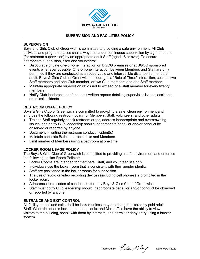

## **SUPERVISION AND FACILITIES POLICY**

## **SUPERVISION**

Boys and Girls Club of Greenwich is committed to providing a safe environment. All Club activities and program spaces shall always be under continuous supervision by sight or sound (for restroom supervision) by an appropriate adult Staff (aged 18 or over). To ensure appropriate supervision, Staff and volunteers:

- Discourage private one-on-one interaction on BGCG premises or at BGCG sponsored events whenever possible. One-on-one interaction between Members and Staff are only permitted if they are conducted at an observable and interruptible distance from another adult. Boys & Girls Club of Greenwich encourages a "Rule of Three" interaction, such as two Staff members and one Club member, or two Club members and one Staff member.
- Maintain appropriate supervision ratios not to exceed one Staff member for every twenty members.
- Notify Club leadership and/or submit written reports detailing supervisionissues, accidents, or critical incidents.

## **RESTROOM USAGE POLICY**

Boys & Girls Club of Greenwich is committed to providing a safe, clean environment and enforces the following restroom policy for Members, Staff, volunteers, and other adults:

- Trained Staff regularly check restroom areas, address inappropriate and overcrowding issues, and notify Club leadership should inappropriate behavior and/or conduct be observed or reported by anyone
- Document in writing the restroom conduct incident(s)
- Maintain separate Bathrooms for adults and Members
- $\bullet$  Limit number of Members using a bathroom at one time

## **LOCKER ROOM USAGE POLICY**

The Boys & Girls Club of Greenwich is committed to providing a safe environment and enforces the following Locker Room Policies:

- Locker Rooms are intended for members, Staff, and volunteer use only.
- Individuals use the locker room that is consistent with their gender identity.
- Staff are positioned in the locker rooms for supervision.
- The use of audio or video recording devices (including cell phones) is prohibited in the locker room.
- Adherence to all codes of conduct set forth by Boys & Girls Club of Greenwich.
- Staff must notify Club leadership should inappropriate behavior and/or conduct be observed or reported by anyone.

## **ENTRANCE AND EXIT CONTROL**

All facility entries and exits shall be locked unless they are being monitored by paid adult Staff. When the door is locked, the receptionist and Main office have the ability to view visitors to the building, speak with them by intercom, and permit or deny entry using a buzzer system.

Approved By: *Giller Tary* Date: 05/04/2022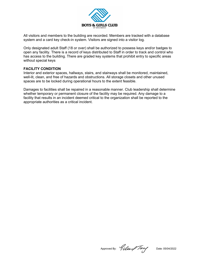

All visitors and members to the building are recorded. Members are tracked with a database system and a card key check-in system. Visitors are signed into a visitor log.

Only designated adult Staff (18 or over) shall be authorized to possess keys and/or badges to open any facility. There is a record of keys distributed to Staff in order to track and control who has access to the building. There are graded key systems that prohibit entry to specific areas without special keys

## **FACILITY CONDITION**

Interior and exterior spaces, hallways, stairs, and stairways shall be monitored, maintained, well-lit, clean, and free of hazards and obstructions. All storage closets and other unused spaces are to be locked during operational hours to the extent feasible.

Damages to facilities shall be repaired in a reasonable manner. Club leadership shall determine whether temporary or permanent closure of the facility may be required. Any damage to a facility that results in an incident deemed critical to the organization shall be reported to the appropriate authorities as a critical incident.

Approved By: *Gillen Tang* Date: 05/04/2022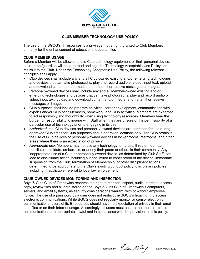

## **CLUB MEMBER TECHNOLOGY USE POLICY**

The use of the BGCG's IT resources is a privilege, not a right, granted to Club Members primarily for the enhancement of educational opportunities

## **CLUB MEMBER USAGE**

Before a Member will be allowed to use Club technology equipment or their personal device, their parent/guardian will need to read and sign the Technology Acceptable Use Policy and return it to the Club. Under the Technology Acceptable Use Policy, the following relevant principles shall apply:

- Club devices shall include any and all Club-owned existing and/or emerging technologies and devices that can take photographs, play and record audio or video, input text, upload and download content and/or media, and transmit or receive messages or images.
- Personally-owned devices shall include any and all Member-owned existing and/or emerging technologies and devices that can take photographs, play and record audio or video, input text, upload and download content and/or media, and transmit or receive messages or images.
- Club purposes shall include program activities, career development, communication with experts and/or Club peer Members, homework, and Club activities. Members are expected to act responsibly and thoughtfully when using technology resources. Members bear the burden of responsibility to inquire with Staff when they are unsure of the permissibility of a particular use of technology prior to engaging in its use.
- *Authorized use*: Club devices and personally-owned devices are permitted for use during approved Club times for Club purposes and in approved locations only. The Club prohibits the use of Club devices or personally-owned devices in locker rooms, restrooms, and other areas where there is an expectation of privacy
- *Appropriate use*: Members may not use any technology to harass, threaten, demean, humiliate, intimidate, embarrass, or annoy their peers or others in their community. Any inappropriate use of a Club or personally-owned device, as determined by Club Staff, can lead to disciplinary action including but not limited to confiscation of the device, immediate suspension from the Club, termination of Membership, or other disciplinary actions determined to be appropriate to the Club's existing conduct policy, disciplinary policies including, if applicable, referral to local law enforcement.

## **CLUB-OWNED DEVICES MONITORING AND INSPECTION**

Boys & Girls Club of Greenwich reserves the right to monitor, inspect, audit, intercept, access, copy, review files and all data stored on the Boys & Girls Club of Greenwich's computers, servers, and email systems, as security considerations warrant, with or without employee notice. The use of a password by a user does not restrict the BGCG's legal right to access electronic communications. While BGCG does not regularly monitor or censor electronic communications, users of its E-resources should have no expectation of privacy in their email, data files or on their Internet usage. Accordingly, all users must ensure that their electronic communications are appropriate, lawful and in compliance with the provisions in this policy.

Approved By:  $9 \mu \rightarrow 7$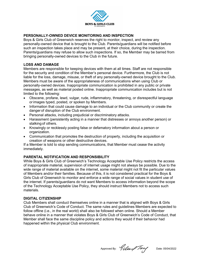

# **PERSONALLY-OWNED DEVICE MONITORING AND INSPECTION**

Boys & Girls Club of Greenwich reserves the right to monitor, inspect, and review any personally-owned device that is brought to the Club. Parents/guardians will be notified before such an inspection takes place and may be present, at their choice, during the inspection. Parents/guardians may refuse to allow such inspections. If so, the Member may be barred from bringing personally-owned devices to the Club in the future.

## **LOSS AND DAMAGE**

Members are responsible for keeping devices with them at all times. Staff are not responsible for the security and condition of the Member's personal device. Furthermore, the Club is not liable for the loss, damage, misuse, or theft of any personally-owned device brought to the Club. Members must be aware of the appropriateness of communications when using Club or personally-owned devices. Inappropriate communication is prohibited in any public or private messages, as well as material posted online. Inappropriate communication includes but is not limited to the following:

- Obscene, profane, lewd, vulgar, rude, inflammatory, threatening, or disrespectful language orimages typed, posted, or spoken by Members.
- Information that could cause damage to an individual or the Club community or create the danger of disruption of the Club environment.
- Personal attacks, including prejudicial or discriminatory attacks.
- Harassment (persistently acting in a manner that distresses or annoys another person) or stalking of others.
- Knowingly or recklessly posting false or defamatory information about a person or organization.
- Communication that promotes the destruction of property, including the acquisition or creation of weapons or other destructive devices.

If a Member is told to stop sending communications, that Member must cease the activity immediately.

# **PARENTAL NOTIFICATION AND RESPONSIBILITY**

While Boys & Girls Club of Greenwich's Technology Acceptable Use Policy restricts the access of inappropriate material, supervision of internet usage might not always be possible. Due to the wide range of material available on the internet, some material might not fit the particular values of Members and/or their families. Because of this, it is not considered practical for the Boys & Girls Club of Greenwich to monitor and enforce a wide range of social values in student use of the internet. If parents/guardians do not want Members to access information beyond the scope of the Technology Acceptable Use Policy, they should instruct Members not to access such materials.

## **DIGITAL CITIZENSHIP**

Club Members shall conduct themselves online in a manner that is aligned with Boys & Girls Club of Greenwich's Code of Conduct. The same rules and guidelines Members are expected to follow offline (i.e., in the real world) shall also be followed when online. Should a Member behave online in a manner that violates Boys & Girls Club of Greenwich's Code of Conduct, that Member shall face the same discipline policy and actions they would if their behavior had happened within the physical Club environment.

Approved By:  $9 \mu \rightarrow 7$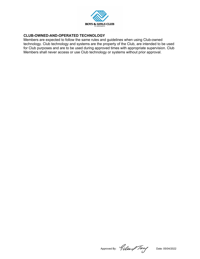

# **CLUB-OWNED-AND-OPERATED TECHNOLOGY**

Members are expected to follow the same rules and guidelines when using Club-owned technology. Club technology and systems are the property of the Club, are intended to be used for Club purposes and are to be used during approved times with appropriate supervision. Club Members shall never access or use Club technology or systems without prior approval.

Approved By: *Gillen Tang* Date: 05/04/2022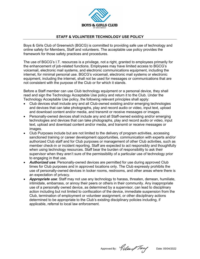

## **STAFF & VOLUNTEER TECHNOLOGY USE POLICY**

Boys & Girls Club of Greenwich (BGCG) is committed to providing safe use of technology and online safety for Members, Staff and volunteers. The acceptable use policy provides the framework for those safety practices and procedures.

The use of BGCG's I.T. resources is a privilege, not a right, granted to employees primarily for the enhancement of job-related functions. Employees may have limited access to BGCG's voicemail, electronic mail systems, and electronic communications equipment, including the internet, for minimal personal use. BGCG's voicemail, electronic mail systems or electronic equipment, including the internet, shall not be used for messages or communications that are not consistent with the purpose of the Club or for which it stands.

Before a Staff member can use Club technology equipment or a personal device, they shall read and sign the Technology Acceptable Use policy and return it to the Club. Under the Technology Acceptable Use policy, the following relevant principles shall apply:

- Club devices shall include any and all Club-owned existing and/or emerging technologies and devices that can take photographs, play and record audio or video, input text, upload and download content and/or media, and transmit or receive messages or images.
- Personally-owned devices shall include any and all Staff-owned existing and/or emerging technologies and devices that can take photographs, play and record audio or video, input text, upload and download content and/or media, and transmit or receive messages or images.
- Club Purposes include but are not limited to the delivery of program activities, accessing sanctioned training or career development opportunities, communication with experts and/or authorized Club staff and for Club purposes or management of other Club activities, such as member check-in or incident reporting. Staff are expected to act responsibly and thoughtfully when using technology resources. Staff bear the burden of responsibility to ask their supervisor when they aren't sure of the permissibility of a particular use of technology prior to engaging in that use.
- *Authorized use*: Personally-owned devices are permitted for use during approved Club times for Club purposes and in approved locations only. The Club expressly prohibits the use of personally-owned devices in locker rooms, restrooms, and other areas where there is an expectation of privacy.
- *Appropriate use*: Staff may not use any technology to harass, threaten, demean, humiliate, intimidate, embarrass, or annoy their peers or others in their community. Any inappropriate use of a personally owned device, as determined by a supervisor, can lead to disciplinary action including but not limited to confiscation of the device, immediate suspension from the Club, termination of employment or volunteer assignment, or other disciplinary actions determined to be appropriate to the Club's existing disciplinary policies including, if applicable, referral to local law enforcement.

Approved By: *Gillen Tary* Date: 05/04/2022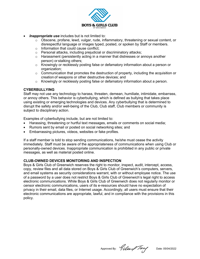

- *Inappropriate use* includes but is not limited to:
	- $\circ$  Obscene, profane, lewd, vulgar, rude, inflammatory, threatening or sexual content, or disrespectful language or images typed, posted, or spoken by Staff or members.
	- o Information that could cause conflict;
	- o Personal attacks, including prejudicial or discriminatory attacks;
	- $\circ$  Harassment (persistently acting in a manner that distresses or annoys another person) or stalking others;
	- o Knowingly or recklessly posting false or defamatory information about a person or organization;
	- $\circ$  Communication that promotes the destruction of property, including the acquisition or creation of weapons or other destructive devices; and
	- $\circ$  Knowingly or recklessly posting false or defamatory information about a person.

## **CYBERBULLYING**

Staff may not use any technology to harass, threaten, demean, humiliate, intimidate, embarrass, or annoy others. This behavior is cyberbullying, which is defined as bullying that takes place using existing or emerging technologies and devices. Any cyberbullying that is determined to disrupt the safety and/or well-being of the Club, Club staff, Club members or community is subject to disciplinary action.

Examples of cyberbullying include, but are not limited to:

- Harassing, threatening or hurtful text messages, emails or comments on social media;
- Rumors sent by email or posted on social networking sites; and
- Embarrassing pictures, videos, websites or fake profiles.

If a staff member is told to stop sending communications, he/she must cease the activity immediately. Staff must be aware of the appropriateness of communications when using Club or personally-owned devices. Inappropriate communication is prohibited in any public or private messages, as well as material posted online.

## **CLUB-OWNED DEVICES MONITORING AND INSPECTION**

Boys & Girls Club of Greenwich reserves the right to monitor, inspect, audit, intercept, access, copy, review files and all data stored on Boys & Girls Club of Greenwich's computers, servers, and email systems as security considerations warrant, with or without employee notice. The use of a password by a user does not restrict Boys & Girls Club of Greenwich's legal right to access electronic communications. While Boys & Girls Club of Greenwich does not regularly monitor or censor electronic communications, users of its e-resources should have no expectation of privacy in their email, data files, or Internet usage. Accordingly, all users must ensure that their electronic communications are appropriate, lawful, and in compliance with the provisions in this policy.

Approved By: *Gillen Tary* Date: 05/04/2022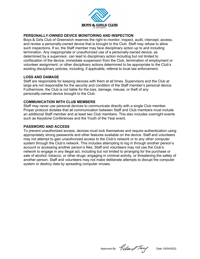

## **PERSONALLY-OWNED DEVICE MONITORING AND INSPECTION**

Boys & Girls Club of Greenwich reserves the right to monitor, inspect, audit, intercept, access, and review a personally-owned device that is brought to the Club. Staff may refuse to allow such inspections. If so, the Staff member may face disciplinary action up to and including termination. Any inappropriate or unauthorized use of a personally-owned device, as determined by a supervisor, can lead to disciplinary action including but not limited to confiscation of the device, immediate suspension from the Club, termination of employment or volunteer assignment, or other disciplinary actions determined to be appropriate to the Club's existing disciplinary policies, including, if applicable, referral to local law enforcement.

## **LOSS AND DAMAGE**

Staff are responsible for keeping devices with them at all times. Supervisors and the Club at large are not responsible for the security and condition of the Staff member's personal device. Furthermore, the Club is not liable for the loss, damage, misuse, or theft of any personally-owned device brought to the Club.

#### **COMMUNICATION WITH CLUB MEMBERS**

Staff may never use personal devices to communicate directly with a single Club member. Proper protocol dictates that all communication between Staff and Club members must include an additional Staff member and at least two Club members. This also includes overnight events such as Keystone Conferences and the Youth of the Year event.

#### **PASSWORD AND ACCESS**

To prevent unauthorized access, devices must lock themselves and require authentication using appropriately strong passwords and other features available on the device. Staff and volunteers may not attempt to gain unauthorized access to the Club's network or to any other computer system through the Club's network. This includes attempting to log in through another person's account or accessing another person's files. Staff and volunteers may not use the Club's network to engage in any illegal act, including but not limited to arranging for the purchase or sale of alcohol, tobacco, or other drugs; engaging in criminal activity, or threatening the safety of another person. Staff and volunteers may not make deliberate attempts to disrupt the computer system or destroy data by spreading computer viruses.

Approved By: *Giller Tary* Date: 05/04/2022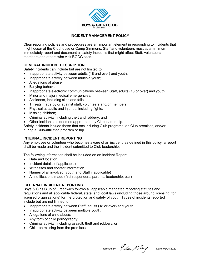

## **INCIDENT MANAGEMENT POLICY**

Clear reporting policies and procedures are an important element in responding to incidents that might occur at the Clubhouse or Camp Simmons. Staff and volunteers must at a minimum immediately report and document all safety incidents that might affect Staff, volunteers, members and others who visit BGCG sites.

## **GENERAL INCIDENT DESCRIPTION**

Safety incidents can include but are not limited to:

- Inappropriate activity between adults (18 and over) and youth;
- Inappropriate activity between multiple youth;
- Allegations of abuse;
- Bullying behavior;
- Inappropriate electronic communications between Staff, adults (18 or over) and youth;
- Minor and major medical emergencies;
- Accidents, including slips and falls;
- Threats made by or against staff, volunteers and/or members;
- Physical assaults and iniuries, including fights:
- Missing children;
- Criminal activity, including theft and robbery; and
- Other incidents as deemed appropriate by Club leadership.

Safety incidents include those that occur during Club programs, on Club premises, and/or during a Club-affiliated program or trip.

#### **INTERNAL INCIDENT REPORTING**

Any employee or volunteer who becomes aware of an incident, as defined in this policy, a report shall be made and the incident submitted to Club leadership.

The following information shall be included on an Incident Report:

- Date and location
- Incident details (if applicable)
- Witnesses and contact information
- Names of all involved (youth and Staff if applicable)
- All notifications made (first responders, parents, leadership, etc.)

## **EXTERNAL INCIDENT REPORTING**

Boys & Girls Club of Greenwich follows all applicable mandated reporting statutes and regulations and all applicable federal, state, and local laws (including those around licensing, for licensed organizations) for the protection and safety of youth. Types of incidents reported include but are not limited to:

- Inappropriate activity between Staff, adults (18 or over) and youth;
- Inappropriate activity between multiple youth;
- Allegations of child abuse;
- Any form of child pornography;
- Criminal activity, including assault, theft and robbery; or
- Children missing from the premises.

Approved By:  $9 \mu \rightarrow 1$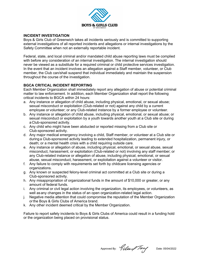

## **INCIDENT INVESTIGATION**

Boys & Girls Club of Greenwich takes all incidents seriously and is committed to supporting external investigations of all reported incidents and allegations or internal investigations by the Safety Committee when not an externally reportable incident.

Federal, state, and local criminal and/or mandated child abuse reporting laws must be complied with before any consideration of an internal investigation. The internal investigation should never be viewed as a substitute for a required criminal or child protective services investigation. In the event that an incident involves an allegation against a Staff member, volunteer, or Club member, the Club can/shall suspend that individual immediately and maintain the suspension throughout the course of the investigation.

# **BGCA CRITICAL INCIDENT REPORTING**

Each Member Organization shall immediately report any allegation of abuse or potential criminal matter to law enforcement. In addition, each Member Organization shall report the following critical incidents to BGCA within 24 hours:

- a. Any instance or allegation of child abuse, including physical, emotional, or sexual abuse; sexual misconduct or exploitation (Club-related or not) against any child by a current employee or volunteer; or any Club-related instance by a former employee or volunteer.
- b. Any instance or allegation of child abuse, including physical, emotional, or sexual abuse; or sexual misconduct or exploitation by a youth towards another youth at a Club site or during a Club-sponsored activity.
- c. Any child who might have been abducted or reported missing from a Club site or Club-sponsored activity.
- d. Any major medical emergency involving a child, Staff member, or volunteer at a Club site or during a Club-sponsored activity leading to extended hospitalization, permanent injury, or death; or a mental health crisis with a child requiring outside care.
- e. Any instance or allegation of abuse, including physical, emotional, or sexual abuse, sexual misconduct, harassment, or exploitation (Club-related or not) involving any staff member; or any Club-related instance or allegation of abuse, including physical, emotional, or sexual abuse, sexual misconduct, harassment, or exploitation against a volunteer or visitor.
- f. Any failure to comply with requirements set forth by childcare licensing agencies or organizations.
- g. Any known or suspected felony-level criminal act committed at a Club site or during a Club-sponsored activity.
- h. Any misappropriation of organizational funds in the amount of \$10,000 or greater, or any amount of federal funds.
- i. Any criminal or civil legal action involving the organization, its employees, or volunteers, as well asany changes in the status of an open organization-related legal action.
- j. Negative media attention that could compromise the reputation of the Member Organization orthe Boys & Girls Clubs of America brand.
- k. Any other incident deemed critical by the Member Organization.

Failure to report safety incidents to Boys & Girls Clubs of America could result in a funding hold or the organization being placed on provisional status.

Approved By:  $9 \mu \rightarrow 7$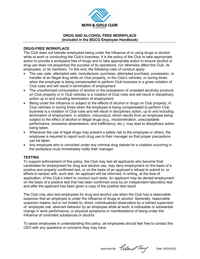

#### **DRUG AND ALCOHOL FREE WORKPLACE (included in the BGCG Employee Handbook)**

## **DRUG-FREE WORKPLACE**

The Club does not tolerate employees being under the influence of or using drugs or alcohol while at work or conducting the Club's business. It is the policy of the Club to take appropriate action to provide a workplace free of drugs and to take appropriate action to ensure alcohol or drug use does not jeopardize the success of its operations, nor otherwise affect the Club, its employees, or its members. To this end, the following rules of conduct apply:

- The use, sale, attempted sale, manufacture, purchase, attempted purchase, possession, or transfer of an illegal drug while on Club property, in the Club's vehicles, or during times when the employee is being compensated to perform Club business is a gross violation of Club rules and will result in termination of employment.
- The unauthorized consumption of alcohol or the possession of unsealed alcoholic products on Club property or in Club vehicles is a violation of Club rules and will result in disciplinary action up to and including termination of employment.
- Being under the influence or subject to the effects of alcohol or drugs on Club property, in Club vehicles or during times when the employee is being compensated to perform Club business is a violation of Club rules and will result in disciplinary action, up to and including termination of employment. In addition, misconduct, which results from an employee being subject to the effect of alcohol or illegal drugs (e.g., insubordination, unacceptable performance, excessive absenteeism, and inefficiency, etc.), may lead to disciplinary action being taken.
- Whenever the use of legal drugs may present a safety risk to the employee or others, the employee is required to report such drug use to their manager so that proper precautions can be taken.
- Any employee who is convicted under any criminal drug statute for a violation occurring in the workplace must immediately notify their manager.

## **TESTING**

To support enforcement of this policy, the Club may test all applicants who become final candidates for employment for drug and alcohol use, may deny employment on the basis of a positive and properly confirmed test, or on the basis of an applicant's refusal to submit to, or efforts to tamper with, such test. An applicant will be informed, in writing, at the time of application, of the Club's intent to conduct such tests. An applicant may be denied employment on the basis of a positive test that has been confirmed once by an independent laboratory test and after the applicant has been given a copy of the positive test result.

The Club may also test employees for drug and alcohol use when the Club has a reasonable suspicion that an employee is under the influence of drugs or alcohol. Generally, reasonable suspicion means, but is not limited to, direct, individualized observation by a trained supervisor of: employee use; aberrant behavior by an employee while at work; a noticeable or substantial change in work performance; or physical symptoms or manifestations of being under the influence of controlled substances or alcohol.

To assist employees in understanding this policy, all employees should feel free to contact the CEO with any questions or concerns they may have.

Approved By:  $9 \mu \rightarrow 7$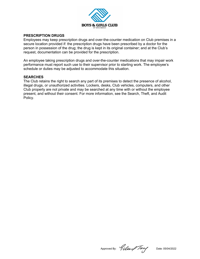

#### **PRESCRIPTION DRUGS**

Employees may keep prescription drugs and over-the-counter medication on Club premises in a secure location provided if: the prescription drugs have been prescribed by a doctor for the person in possession of the drug; the drug is kept in its original container; and at the Club's request, documentation can be provided for the prescription.

An employee taking prescription drugs and over-the-counter medications that may impair work performance must report such use to their supervisor prior to starting work. The employee's schedule or duties may be adjusted to accommodate this situation.

#### **SEARCHES**

The Club retains the right to search any part of its premises to detect the presence of alcohol, illegal drugs, or unauthorized activities. Lockers, desks, Club vehicles, computers, and other Club property are not private and may be searched at any time with or without the employee present, and without their consent. For more information, see the Search, Theft, and Audit Policy.

Approved By: *Gillen Tang* Date: 05/04/2022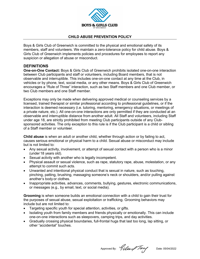

## **CHILD ABUSE PREVENTION POLICY**

Boys & Girls Club of Greenwich is committed to the physical and emotional safety of its members, staff and volunteers. We maintain a zero-tolerance policy for child abuse. Boys & Girls Club of Greenwich implements policies and procedures for employees to report any suspicion or allegation of abuse or misconduct.

## **DEFINITIONS**

**One-on-One Contact:** Boys & Girls Club of Greenwich prohibits isolated one-on-one interaction between Club participants and staff or volunteers, including Board members, that is not observable and interruptible. This includes one-on-one contact at any time at the Club, in vehicles or by phone, text, social media, or any other means. Boys & Girls Club of Greenwich encourages a "Rule of Three" interaction, such as two Staff members and one Club member, or two Club members and one Staff member.

Exceptions may only be made when delivering approved medical or counseling services by a licensed, trained therapist or similar professional according to professional guidelines, or if the interaction is deemed necessary (i.e. tutoring, mentoring, emergency situations, or meetings of a private nature, etc.). All one-on-one interactions are only permitted if they are conducted at an observable and interruptible distance from another adult. All Staff and volunteers, including Staff under age 18, are strictly prohibited from meeting Club participants outside of any Clubsponsored activities. The only exception to this rule is if the Club participant is a child or sibling of a Staff member or volunteer.

**Child abuse** is when an adult or another child, whether through action or by failing to act, causes serious emotional or physical harm to a child. Sexual abuse or misconduct may include but is not limited to:

- Any sexual activity, involvement, or attempt of sexual contact with a person who is a minor (under 18 years old).
- Sexual activity with another who is legally incompetent.
- Physical assault or sexual violence, such as rape, statutory rape, abuse, molestation, or any attempt to commit such acts.
- Unwanted and intentional physical conduct that is sexual in nature, such as touching, pinching, patting, brushing, massaging someone's neck or shoulders, and/or pulling against another's body or clothes.
- Inappropriate activities, advances, comments, bullying, gestures, electronic communications, or messages (e.g., by email, text, or social media).

**Grooming** is when someone builds an emotional connection with a child to gain their trust for the purposes of sexual abuse, sexual exploitation or trafficking. Grooming behaviors may include but are not limited to:

- Targeting specific youth for special attention, activities, or gifts.
- Isolating youth from family members and friends physically or emotionally. This can include one-on-one interactions such as sleepovers, camping trips, and day activities.
- Gradually crossing physical boundaries, full-frontal hugs that last too long, lap sitting, or other "accidental" touches.

Approved By:  $9 \mu \rightarrow 7$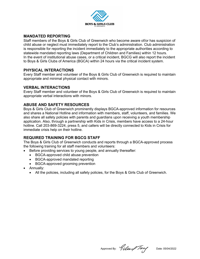

# **MANDATED REPORTING**

Staff members of the Boys & Girls Club of Greenwich who become aware of/or has suspicion of child abuse or neglect must immediately report to the Club's administration. Club administration is responsible for reporting the incident immediately to the appropriate authorities according to statewide mandated reporting laws (Department of Children and Families) within 12 hours. In the event of institutional abuse cases, or a critical incident, BGCG will also report the incident to Boys & Girls Clubs of America (BGCA) within 24 hours via the critical incident system.

# **PHYSICAL INTERACTIONS**

Every Staff member and volunteer of the Boys & Girls Club of Greenwich is required to maintain appropriate and minimal physical contact with minors.

# **VERBAL INTERACTIONS**

Every Staff member and volunteer of the Boys & Girls Club of Greenwich is required to maintain appropriate verbal interactions with minors.

# **ABUSE AND SAFETY RESOURCES**

Boys & Girls Club of Greenwich prominently displays BGCA-approved information for resources and shares a National Hotline and information with members, staff, volunteers, and families. We also share all safety policies with parents and guardians upon receiving a youth membership application. Also, through a partnership with Kids in Crisis, members have access to a 24-hour hotline. Call 203-869-3224, press 5, and callers will be directly connected to Kids in Crisis for immediate crisis help on their hotline.

# **REQUIRED TRAINING FOR BGCG STAFF**

The Boys & Girls Club of Greenwich conducts and reports through a BGCA-approved process the following training for all staff members and volunteers:

- Before providing services to young people, and annually thereafter:
	- BGCA-approved child abuse prevention
	- BGCA-approved mandated reporting
	- BGCA-approved grooming prevention
- Annually:
	- All the policies, including all safety policies, for the Boys & Girls Club of Greenwich.

Approved By: *Giller Tary* Date: 05/04/2022